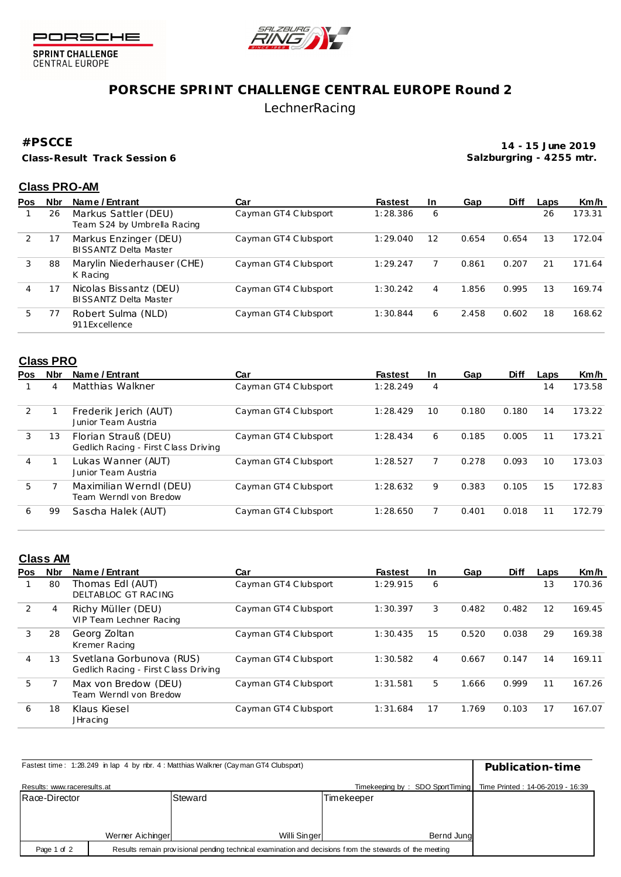



SPRINT CHALLENGE<br>CENTRAL EUROPE

# **PORSCHE SPRINT CHALLENGE CENTRAL EUROPE Round 2** LechnerRacing

### **#PSCCE**

**Class-Result Track Session 6**

**14 - 15 June 2019 Salzburgring - 4255 mtr.**

### **Class PRO-AM**

| Pos | <b>Nbr</b> | Name / Entrant                                         | Car                  | <b>Fastest</b> | <b>In</b> | Gap   | <b>Diff</b> | Laps | Km/h   |
|-----|------------|--------------------------------------------------------|----------------------|----------------|-----------|-------|-------------|------|--------|
|     | 26         | Markus Sattler (DEU)<br>Team S24 by Umbrella Racing    | Cayman GT4 Clubsport | 1:28.386       | 6         |       |             | 26   | 173.31 |
|     |            | Markus Enzinger (DEU)<br><b>BISSANTZ Delta Master</b>  | Cayman GT4 Clubsport | 1:29.040       | 12        | 0.654 | 0.654       | 13   | 172.04 |
| 3   | 88         | Marylin Niederhauser (CHE)<br>K Racing                 | Cayman GT4 Clubsport | 1:29.247       |           | 0.861 | 0.207       | 21   | 171.64 |
| 4   |            | Nicolas Bissantz (DEU)<br><b>BISSANTZ Delta Master</b> | Cayman GT4 Clubsport | 1:30.242       | 4         | 1.856 | 0.995       | 13   | 169.74 |
| 5.  |            | Robert Sulma (NLD)<br>911 Excellence                   | Cayman GT4 Clubsport | 1:30.844       | 6         | 2.458 | 0.602       | 18   | 168.62 |

#### **Class PRO**

| <b>Pos</b> | Nbr | Name / Entrant                                               | Car                  | <b>Fastest</b> | <b>In</b> | Gap   | <b>Diff</b> | Laps | Km/h   |
|------------|-----|--------------------------------------------------------------|----------------------|----------------|-----------|-------|-------------|------|--------|
|            | 4   | Matthias Walkner                                             | Cayman GT4 Clubsport | 1:28.249       | 4         |       |             | 14   | 173.58 |
| 2          |     | Frederik Jerich (AUT)<br>Junior Team Austria                 | Cayman GT4 Clubsport | 1:28.429       | 10        | 0.180 | 0.180       | 14   | 173.22 |
| 3          | 13  | Florian Strauß (DEU)<br>Gedlich Racing - First Class Driving | Cayman GT4 Clubsport | 1:28.434       | 6         | 0.185 | 0.005       | 11   | 173.21 |
| 4          |     | Lukas Wanner (AUT)<br>Junior Team Austria                    | Cayman GT4 Clubsport | 1:28.527       |           | 0.278 | 0.093       | 10   | 173.03 |
| 5          |     | Maximilian Werndl (DEU)<br>Team Werndl von Bredow            | Cayman GT4 Clubsport | 1:28.632       | 9         | 0.383 | 0.105       | 15   | 172.83 |
| 6          | 99  | Sascha Halek (AUT)                                           | Cayman GT4 Clubsport | 1:28.650       |           | 0.401 | 0.018       | 11   | 172.79 |

## **Class AM**

| <b>Pos</b> | <b>Nbr</b> | Name / Entrant                                                   | Car                  | <b>Fastest</b> | <b>In</b> | Gap   | <b>Diff</b> | Laps | Km/h   |
|------------|------------|------------------------------------------------------------------|----------------------|----------------|-----------|-------|-------------|------|--------|
|            | 80         | Thomas EdI (AUT)<br>DELTABLOC GT RACING                          | Cayman GT4 Clubsport | 1:29.915       | 6         |       |             | 13   | 170.36 |
| 2          | 4          | Richy Müller (DEU)<br>VIP Team Lechner Racing                    | Cayman GT4 Clubsport | 1:30.397       | 3         | 0.482 | 0.482       | 12   | 169.45 |
| 3          | 28         | Georg Zoltan<br>Kremer Racing                                    | Cayman GT4 Clubsport | 1:30.435       | 15        | 0.520 | 0.038       | 29   | 169.38 |
| 4          | 13         | Svetlana Gorbunova (RUS)<br>Gedlich Racing - First Class Driving | Cayman GT4 Clubsport | 1:30.582       | 4         | 0.667 | 0.147       | 14   | 169.11 |
| 5          |            | Max von Bredow (DEU)<br>Team Werndl von Bredow                   | Cayman GT4 Clubsport | 1:31.581       | 5         | 1.666 | 0.999       | 11   | 167.26 |
| 6          | 18         | Klaus Kiesel<br><b>JHracing</b>                                  | Cayman GT4 Clubsport | 1:31.684       | 17        | 1.769 | 0.103       | 17   | 167.07 |

| Fastest time: 1:28.249 in lap 4 by nbr. 4 : Matthias Walkner (Cayman GT4 Clubsport) | Publication-time                                                                                        |              |            |  |
|-------------------------------------------------------------------------------------|---------------------------------------------------------------------------------------------------------|--------------|------------|--|
| Results: www.raceresults.at                                                         | Timekeeping by: SDO SportTiming<br>Time Printed: 14-06-2019 - 16:39                                     |              |            |  |
| Race-Director                                                                       |                                                                                                         | Steward      | Timekeeper |  |
|                                                                                     |                                                                                                         |              |            |  |
|                                                                                     |                                                                                                         |              |            |  |
|                                                                                     | Werner Aichinger                                                                                        | Willi Singer | Bernd Jung |  |
| Page 1 of 2                                                                         | Results remain provisional pending technical examination and decisions from the stewards of the meeting |              |            |  |